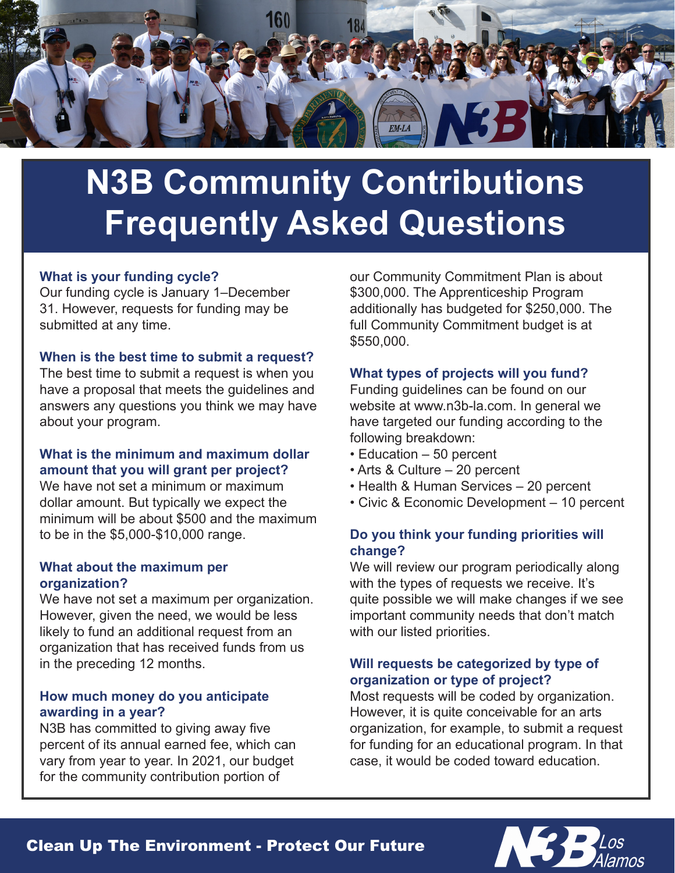

# **N3B Community Contributions Frequently Asked Questions**

## **What is your funding cycle?**

Our funding cycle is January 1–December 31. However, requests for funding may be submitted at any time.

## **When is the best time to submit a request?**

The best time to submit a request is when you have a proposal that meets the guidelines and answers any questions you think we may have about your program.

# **What is the minimum and maximum dollar amount that you will grant per project?**

We have not set a minimum or maximum dollar amount. But typically we expect the minimum will be about \$500 and the maximum to be in the \$5,000-\$10,000 range.

#### **What about the maximum per organization?**

We have not set a maximum per organization. However, given the need, we would be less likely to fund an additional request from an organization that has received funds from us in the preceding 12 months.

## **How much money do you anticipate awarding in a year?**

N3B has committed to giving away five percent of its annual earned fee, which can vary from year to year. In 2021, our budget for the community contribution portion of

our Community Commitment Plan is about \$300,000. The Apprenticeship Program additionally has budgeted for \$250,000. The full Community Commitment budget is at \$550,000.

# **What types of projects will you fund?**

Funding guidelines can be found on our website at www.n3b-la.com. In general we have targeted our funding according to the following breakdown:

- Education 50 percent
- Arts & Culture 20 percent
- Health & Human Services 20 percent
- Civic & Economic Development 10 percent

# **Do you think your funding priorities will change?**

We will review our program periodically along with the types of requests we receive. It's quite possible we will make changes if we see important community needs that don't match with our listed priorities.

# **Will requests be categorized by type of organization or type of project?**

Most requests will be coded by organization. However, it is quite conceivable for an arts organization, for example, to submit a request for funding for an educational program. In that case, it would be coded toward education.